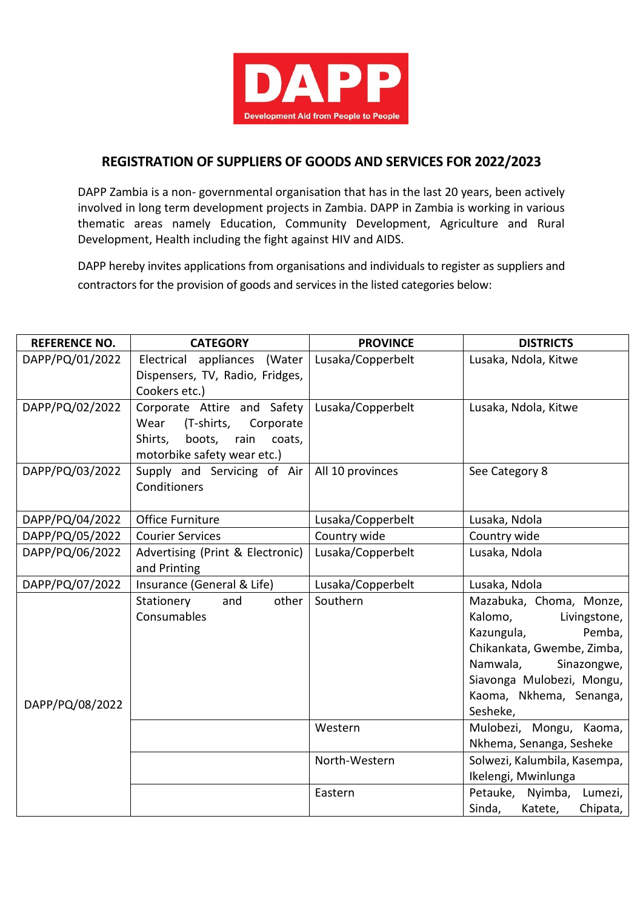

## **REGISTRATION OF SUPPLIERS OF GOODS AND SERVICES FOR 2022/2023**

DAPP Zambia is a non- governmental organisation that has in the last 20 years, been actively involved in long term development projects in Zambia. DAPP in Zambia is working in various thematic areas namely Education, Community Development, Agriculture and Rural Development, Health including the fight against HIV and AIDS.

DAPP hereby invites applications from organisations and individuals to register as suppliers and contractors for the provision of goods and services in the listed categories below:

| <b>REFERENCE NO.</b> | <b>CATEGORY</b>                                                 | <b>PROVINCE</b>   | <b>DISTRICTS</b>                                   |
|----------------------|-----------------------------------------------------------------|-------------------|----------------------------------------------------|
| DAPP/PQ/01/2022      | Electrical appliances (Water<br>Dispensers, TV, Radio, Fridges, | Lusaka/Copperbelt | Lusaka, Ndola, Kitwe                               |
|                      | Cookers etc.)                                                   |                   |                                                    |
| DAPP/PQ/02/2022      | Corporate Attire and Safety                                     | Lusaka/Copperbelt | Lusaka, Ndola, Kitwe                               |
|                      | (T-shirts,<br>Corporate<br>Wear<br>Shirts,<br>boots,<br>rain    |                   |                                                    |
|                      | coats,<br>motorbike safety wear etc.)                           |                   |                                                    |
| DAPP/PQ/03/2022      | Supply and Servicing of Air                                     | All 10 provinces  | See Category 8                                     |
|                      | Conditioners                                                    |                   |                                                    |
| DAPP/PQ/04/2022      | <b>Office Furniture</b>                                         | Lusaka/Copperbelt | Lusaka, Ndola                                      |
| DAPP/PQ/05/2022      | <b>Courier Services</b>                                         | Country wide      | Country wide                                       |
| DAPP/PQ/06/2022      | Advertising (Print & Electronic)                                | Lusaka/Copperbelt | Lusaka, Ndola                                      |
|                      | and Printing                                                    |                   |                                                    |
| DAPP/PQ/07/2022      | Insurance (General & Life)                                      | Lusaka/Copperbelt | Lusaka, Ndola                                      |
| DAPP/PQ/08/2022      | other<br>Stationery<br>and                                      | Southern          | Mazabuka, Choma, Monze,                            |
|                      | Consumables                                                     |                   | Kalomo,<br>Livingstone,                            |
|                      |                                                                 |                   | Pemba,<br>Kazungula,<br>Chikankata, Gwembe, Zimba, |
|                      |                                                                 |                   | Sinazongwe,<br>Namwala,                            |
|                      |                                                                 |                   | Siavonga Mulobezi, Mongu,                          |
|                      |                                                                 |                   | Kaoma, Nkhema, Senanga,                            |
|                      |                                                                 |                   | Sesheke,                                           |
|                      |                                                                 | Western           | Mulobezi, Mongu, Kaoma,                            |
|                      |                                                                 |                   | Nkhema, Senanga, Sesheke                           |
|                      |                                                                 | North-Western     | Solwezi, Kalumbila, Kasempa,                       |
|                      |                                                                 |                   | Ikelengi, Mwinlunga                                |
|                      |                                                                 | Eastern           | Petauke, Nyimba, Lumezi,                           |
|                      |                                                                 |                   | Sinda,<br>Chipata,<br>Katete,                      |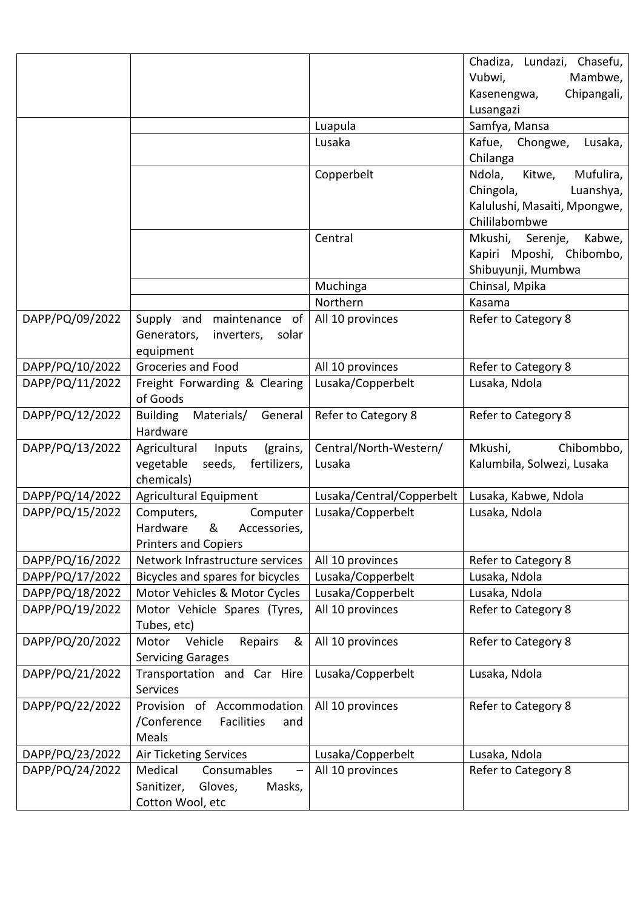|                                    |                                                                   |                                        | Chadiza, Lundazi, Chasefu,     |
|------------------------------------|-------------------------------------------------------------------|----------------------------------------|--------------------------------|
|                                    |                                                                   |                                        | Vubwi,<br>Mambwe,              |
|                                    |                                                                   |                                        | Chipangali,<br>Kasenengwa,     |
|                                    |                                                                   |                                        | Lusangazi                      |
|                                    |                                                                   | Luapula                                | Samfya, Mansa                  |
|                                    |                                                                   | Lusaka                                 | Chongwe,<br>Kafue,<br>Lusaka,  |
|                                    |                                                                   |                                        | Chilanga                       |
|                                    |                                                                   | Copperbelt                             | Mufulira,<br>Ndola,<br>Kitwe,  |
|                                    |                                                                   |                                        | Chingola,<br>Luanshya,         |
|                                    |                                                                   |                                        | Kalulushi, Masaiti, Mpongwe,   |
|                                    |                                                                   |                                        | Chililabombwe                  |
|                                    |                                                                   | Central                                | Mkushi, Serenje,<br>Kabwe,     |
|                                    |                                                                   |                                        | Kapiri Mposhi, Chibombo,       |
|                                    |                                                                   |                                        | Shibuyunji, Mumbwa             |
|                                    |                                                                   | Muchinga                               | Chinsal, Mpika                 |
|                                    |                                                                   | Northern                               | Kasama                         |
| DAPP/PQ/09/2022                    | Supply and<br>maintenance of<br>Generators,<br>inverters,         | All 10 provinces                       | Refer to Category 8            |
|                                    | solar<br>equipment                                                |                                        |                                |
| DAPP/PQ/10/2022                    | Groceries and Food                                                | All 10 provinces                       | Refer to Category 8            |
| DAPP/PQ/11/2022                    | Freight Forwarding & Clearing                                     | Lusaka/Copperbelt                      | Lusaka, Ndola                  |
|                                    | of Goods                                                          |                                        |                                |
| DAPP/PQ/12/2022                    | <b>Building</b><br>Materials/<br>General                          | Refer to Category 8                    | Refer to Category 8            |
|                                    | Hardware                                                          |                                        |                                |
| DAPP/PQ/13/2022                    | (grains,<br>Agricultural<br>Inputs                                | Central/North-Western/                 | Mkushi,<br>Chibombbo,          |
|                                    | seeds,<br>fertilizers,<br>vegetable                               | Lusaka                                 | Kalumbila, Solwezi, Lusaka     |
|                                    | chemicals)                                                        |                                        |                                |
| DAPP/PQ/14/2022                    | Agricultural Equipment                                            | Lusaka/Central/Copperbelt              | Lusaka, Kabwe, Ndola           |
| DAPP/PQ/15/2022                    | Computers,<br>Computer                                            | Lusaka/Copperbelt                      | Lusaka, Ndola                  |
|                                    | Hardware<br>&<br>Accessories,                                     |                                        |                                |
|                                    | <b>Printers and Copiers</b><br>Network Infrastructure services    |                                        |                                |
| DAPP/PQ/16/2022<br>DAPP/PQ/17/2022 |                                                                   | All 10 provinces                       | Refer to Category 8            |
| DAPP/PQ/18/2022                    | Bicycles and spares for bicycles<br>Motor Vehicles & Motor Cycles | Lusaka/Copperbelt<br>Lusaka/Copperbelt | Lusaka, Ndola<br>Lusaka, Ndola |
| DAPP/PQ/19/2022                    | Motor Vehicle Spares (Tyres,                                      | All 10 provinces                       | Refer to Category 8            |
|                                    | Tubes, etc)                                                       |                                        |                                |
| DAPP/PQ/20/2022                    | Vehicle<br>Repairs<br>Motor<br>&                                  | All 10 provinces                       | Refer to Category 8            |
|                                    | <b>Servicing Garages</b>                                          |                                        |                                |
| DAPP/PQ/21/2022                    | Transportation and Car Hire                                       | Lusaka/Copperbelt                      | Lusaka, Ndola                  |
|                                    | Services                                                          |                                        |                                |
| DAPP/PQ/22/2022                    | Provision of Accommodation                                        | All 10 provinces                       | Refer to Category 8            |
|                                    | /Conference<br>Facilities<br>and                                  |                                        |                                |
|                                    | Meals                                                             |                                        |                                |
| DAPP/PQ/23/2022                    | <b>Air Ticketing Services</b>                                     | Lusaka/Copperbelt                      | Lusaka, Ndola                  |
| DAPP/PQ/24/2022                    | Consumables<br>Medical                                            | All 10 provinces                       | Refer to Category 8            |
|                                    | Sanitizer,<br>Gloves,<br>Masks,                                   |                                        |                                |
|                                    | Cotton Wool, etc                                                  |                                        |                                |